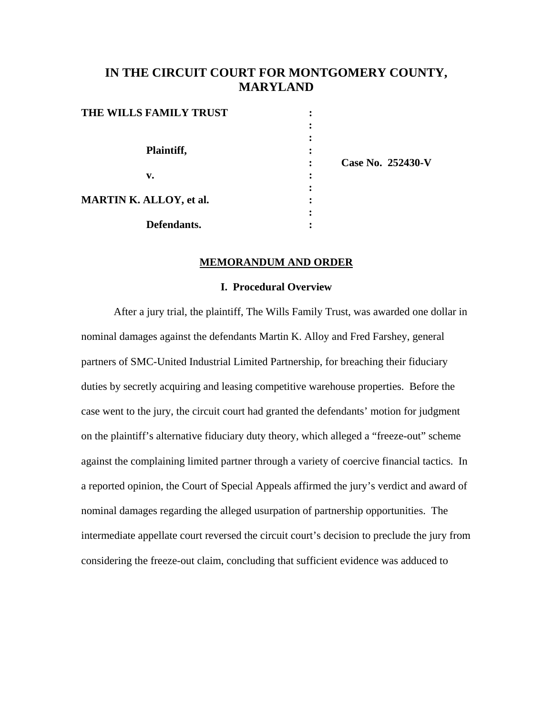# **IN THE CIRCUIT COURT FOR MONTGOMERY COUNTY, MARYLAND**

| THE WILLS FAMILY TRUST         | ٠              |                   |
|--------------------------------|----------------|-------------------|
|                                |                |                   |
|                                |                |                   |
| Plaintiff,                     | ٠<br>٠         |                   |
|                                |                | Case No. 252430-V |
| v.                             |                |                   |
|                                | ٠<br>$\bullet$ |                   |
| <b>MARTIN K. ALLOY, et al.</b> | ٠              |                   |
|                                | ٠              |                   |
| Defendants.                    |                |                   |

### **MEMORANDUM AND ORDER**

#### **I. Procedural Overview**

After a jury trial, the plaintiff, The Wills Family Trust, was awarded one dollar in nominal damages against the defendants Martin K. Alloy and Fred Farshey, general partners of SMC-United Industrial Limited Partnership, for breaching their fiduciary duties by secretly acquiring and leasing competitive warehouse properties. Before the case went to the jury, the circuit court had granted the defendants' motion for judgment on the plaintiff's alternative fiduciary duty theory, which alleged a "freeze-out" scheme against the complaining limited partner through a variety of coercive financial tactics. In a reported opinion, the Court of Special Appeals affirmed the jury's verdict and award of nominal damages regarding the alleged usurpation of partnership opportunities. The intermediate appellate court reversed the circuit court's decision to preclude the jury from considering the freeze-out claim, concluding that sufficient evidence was adduced to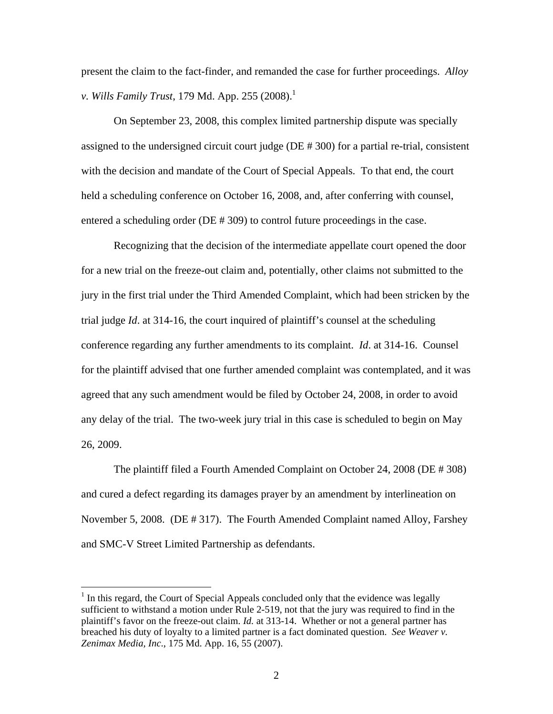present the claim to the fact-finder, and remanded the case for further proceedings. *Alloy v. Wills Family Trust,* 179 Md. App. 255 (2008).<sup>1</sup>

On September 23, 2008, this complex limited partnership dispute was specially assigned to the undersigned circuit court judge (DE # 300) for a partial re-trial, consistent with the decision and mandate of the Court of Special Appeals. To that end, the court held a scheduling conference on October 16, 2008, and, after conferring with counsel, entered a scheduling order (DE # 309) to control future proceedings in the case.

Recognizing that the decision of the intermediate appellate court opened the door for a new trial on the freeze-out claim and, potentially, other claims not submitted to the jury in the first trial under the Third Amended Complaint, which had been stricken by the trial judge *Id*. at 314-16, the court inquired of plaintiff's counsel at the scheduling conference regarding any further amendments to its complaint. *Id*. at 314-16. Counsel for the plaintiff advised that one further amended complaint was contemplated, and it was agreed that any such amendment would be filed by October 24, 2008, in order to avoid any delay of the trial. The two-week jury trial in this case is scheduled to begin on May 26, 2009.

The plaintiff filed a Fourth Amended Complaint on October 24, 2008 (DE # 308) and cured a defect regarding its damages prayer by an amendment by interlineation on November 5, 2008. (DE # 317). The Fourth Amended Complaint named Alloy, Farshey and SMC-V Street Limited Partnership as defendants.

 $<sup>1</sup>$  In this regard, the Court of Special Appeals concluded only that the evidence was legally</sup> sufficient to withstand a motion under Rule 2-519, not that the jury was required to find in the plaintiff's favor on the freeze-out claim. *Id.* at 313-14. Whether or not a general partner has breached his duty of loyalty to a limited partner is a fact dominated question. *See Weaver v. Zenimax Media, Inc*., 175 Md. App. 16, 55 (2007).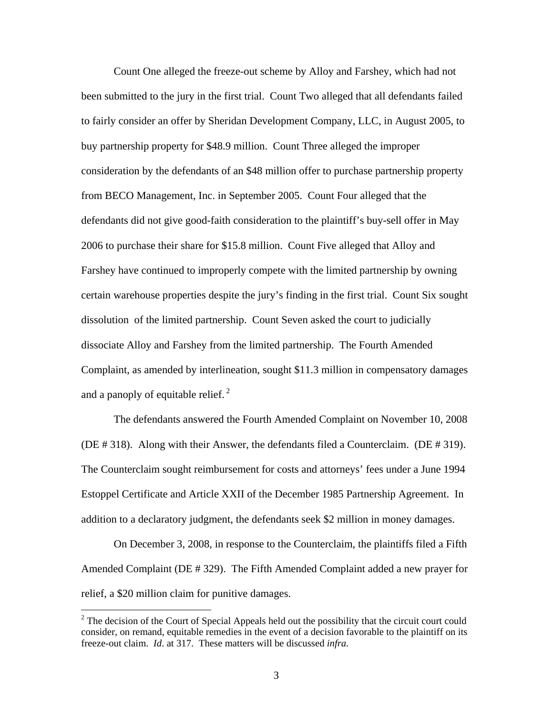Count One alleged the freeze-out scheme by Alloy and Farshey, which had not been submitted to the jury in the first trial. Count Two alleged that all defendants failed to fairly consider an offer by Sheridan Development Company, LLC, in August 2005, to buy partnership property for \$48.9 million. Count Three alleged the improper consideration by the defendants of an \$48 million offer to purchase partnership property from BECO Management, Inc. in September 2005. Count Four alleged that the defendants did not give good-faith consideration to the plaintiff's buy-sell offer in May 2006 to purchase their share for \$15.8 million. Count Five alleged that Alloy and Farshey have continued to improperly compete with the limited partnership by owning certain warehouse properties despite the jury's finding in the first trial. Count Six sought dissolution of the limited partnership. Count Seven asked the court to judicially dissociate Alloy and Farshey from the limited partnership. The Fourth Amended Complaint, as amended by interlineation, sought \$11.3 million in compensatory damages and a panoply of equitable relief. $<sup>2</sup>$ </sup>

The defendants answered the Fourth Amended Complaint on November 10, 2008 (DE # 318). Along with their Answer, the defendants filed a Counterclaim. (DE # 319). The Counterclaim sought reimbursement for costs and attorneys' fees under a June 1994 Estoppel Certificate and Article XXII of the December 1985 Partnership Agreement. In addition to a declaratory judgment, the defendants seek \$2 million in money damages.

On December 3, 2008, in response to the Counterclaim, the plaintiffs filed a Fifth Amended Complaint (DE # 329). The Fifth Amended Complaint added a new prayer for relief, a \$20 million claim for punitive damages.

 $2^2$  The decision of the Court of Special Appeals held out the possibility that the circuit court could consider, on remand, equitable remedies in the event of a decision favorable to the plaintiff on its freeze-out claim. *Id*. at 317. These matters will be discussed *infra.*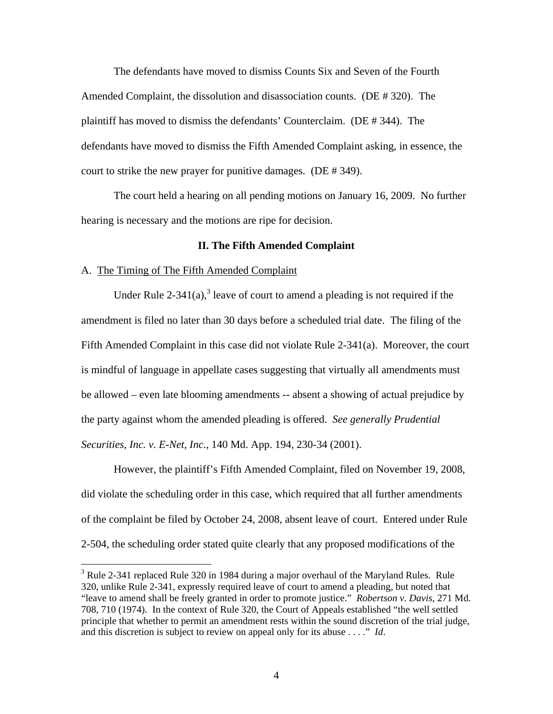The defendants have moved to dismiss Counts Six and Seven of the Fourth Amended Complaint, the dissolution and disassociation counts. (DE # 320). The plaintiff has moved to dismiss the defendants' Counterclaim. (DE # 344). The defendants have moved to dismiss the Fifth Amended Complaint asking, in essence, the court to strike the new prayer for punitive damages. (DE # 349).

The court held a hearing on all pending motions on January 16, 2009. No further hearing is necessary and the motions are ripe for decision.

# **II. The Fifth Amended Complaint**

### A. The Timing of The Fifth Amended Complaint

 $\overline{a}$ 

Under Rule 2-341(a),<sup>3</sup> leave of court to amend a pleading is not required if the amendment is filed no later than 30 days before a scheduled trial date. The filing of the Fifth Amended Complaint in this case did not violate Rule 2-341(a). Moreover, the court is mindful of language in appellate cases suggesting that virtually all amendments must be allowed – even late blooming amendments -- absent a showing of actual prejudice by the party against whom the amended pleading is offered. *See generally Prudential Securities, Inc. v. E-Net, Inc*., 140 Md. App. 194, 230-34 (2001).

However, the plaintiff's Fifth Amended Complaint, filed on November 19, 2008, did violate the scheduling order in this case, which required that all further amendments of the complaint be filed by October 24, 2008, absent leave of court. Entered under Rule 2-504, the scheduling order stated quite clearly that any proposed modifications of the

<sup>&</sup>lt;sup>3</sup> Rule 2-341 replaced Rule 320 in 1984 during a major overhaul of the Maryland Rules. Rule 320, unlike Rule 2-341, expressly required leave of court to amend a pleading, but noted that "leave to amend shall be freely granted in order to promote justice." *Robertson v. Davis*, 271 Md. 708, 710 (1974). In the context of Rule 320, the Court of Appeals established "the well settled principle that whether to permit an amendment rests within the sound discretion of the trial judge, and this discretion is subject to review on appeal only for its abuse . . . ." *Id*.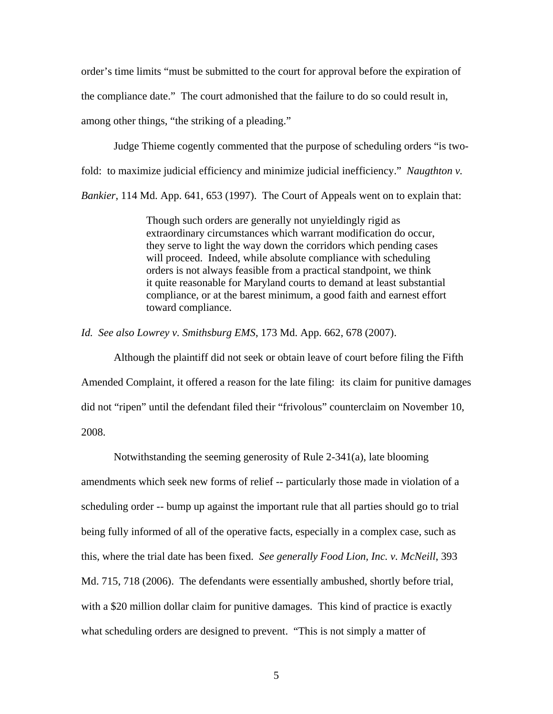order's time limits "must be submitted to the court for approval before the expiration of the compliance date." The court admonished that the failure to do so could result in, among other things, "the striking of a pleading."

Judge Thieme cogently commented that the purpose of scheduling orders "is twofold: to maximize judicial efficiency and minimize judicial inefficiency." *Naugthton v. Bankier*, 114 Md. App. 641, 653 (1997). The Court of Appeals went on to explain that:

> Though such orders are generally not unyieldingly rigid as extraordinary circumstances which warrant modification do occur, they serve to light the way down the corridors which pending cases will proceed. Indeed, while absolute compliance with scheduling orders is not always feasible from a practical standpoint, we think it quite reasonable for Maryland courts to demand at least substantial compliance, or at the barest minimum, a good faith and earnest effort toward compliance.

*Id. See also Lowrey v. Smithsburg EMS*, 173 Md. App. 662, 678 (2007).

 Although the plaintiff did not seek or obtain leave of court before filing the Fifth Amended Complaint, it offered a reason for the late filing: its claim for punitive damages did not "ripen" until the defendant filed their "frivolous" counterclaim on November 10, 2008.

 Notwithstanding the seeming generosity of Rule 2-341(a), late blooming amendments which seek new forms of relief -- particularly those made in violation of a scheduling order -- bump up against the important rule that all parties should go to trial being fully informed of all of the operative facts, especially in a complex case, such as this, where the trial date has been fixed. *See generally Food Lion, Inc. v. McNeill*, 393 Md. 715, 718 (2006). The defendants were essentially ambushed, shortly before trial, with a \$20 million dollar claim for punitive damages. This kind of practice is exactly what scheduling orders are designed to prevent. "This is not simply a matter of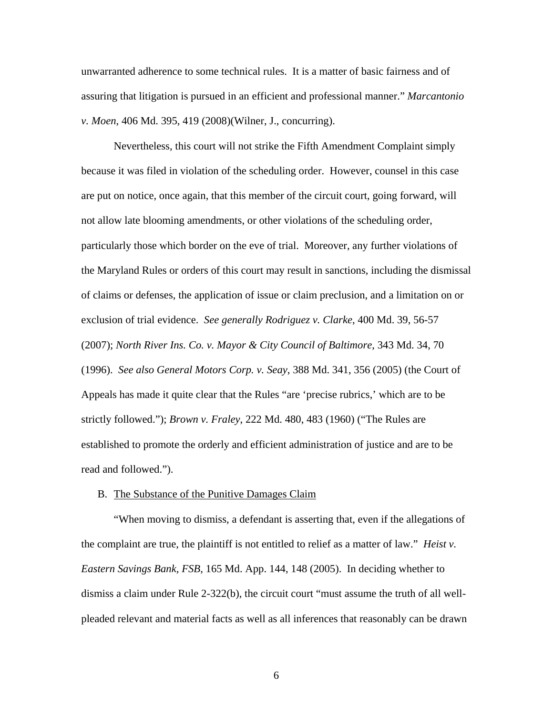unwarranted adherence to some technical rules. It is a matter of basic fairness and of assuring that litigation is pursued in an efficient and professional manner." *Marcantonio v. Moen*, 406 Md. 395, 419 (2008)(Wilner, J., concurring).

Nevertheless, this court will not strike the Fifth Amendment Complaint simply because it was filed in violation of the scheduling order. However, counsel in this case are put on notice, once again, that this member of the circuit court, going forward, will not allow late blooming amendments, or other violations of the scheduling order, particularly those which border on the eve of trial. Moreover, any further violations of the Maryland Rules or orders of this court may result in sanctions, including the dismissal of claims or defenses, the application of issue or claim preclusion, and a limitation on or exclusion of trial evidence. *See generally Rodriguez v. Clarke*, 400 Md. 39, 56-57 (2007); *North River Ins. Co. v. Mayor & City Council of Baltimore*, 343 Md. 34, 70 (1996). *See also General Motors Corp. v. Seay*, 388 Md. 341, 356 (2005) (the Court of Appeals has made it quite clear that the Rules "are 'precise rubrics,' which are to be strictly followed."); *Brown v. Fraley*, 222 Md. 480, 483 (1960) ("The Rules are established to promote the orderly and efficient administration of justice and are to be read and followed.").

#### B. The Substance of the Punitive Damages Claim

"When moving to dismiss, a defendant is asserting that, even if the allegations of the complaint are true, the plaintiff is not entitled to relief as a matter of law." *Heist v. Eastern Savings Bank, FSB*, 165 Md. App. 144, 148 (2005). In deciding whether to dismiss a claim under Rule 2-322(b), the circuit court "must assume the truth of all wellpleaded relevant and material facts as well as all inferences that reasonably can be drawn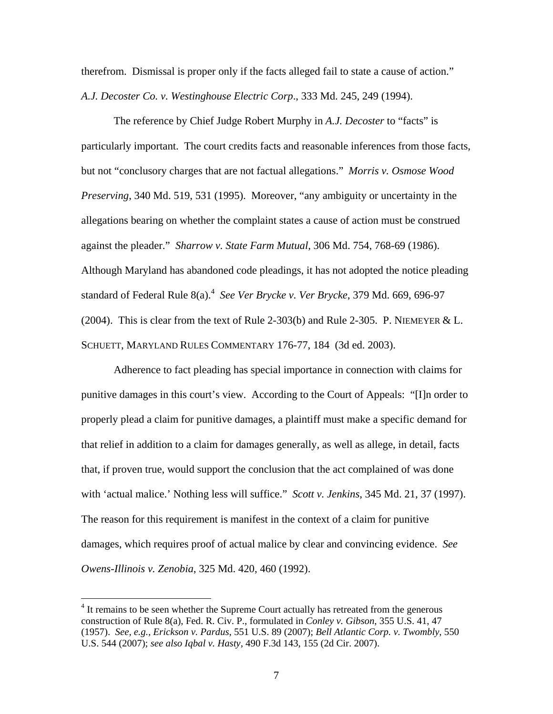therefrom. Dismissal is proper only if the facts alleged fail to state a cause of action." *A.J. Decoster Co. v. Westinghouse Electric Corp*., 333 Md. 245, 249 (1994).

The reference by Chief Judge Robert Murphy in *A.J. Decoster* to "facts" is particularly important. The court credits facts and reasonable inferences from those facts, but not "conclusory charges that are not factual allegations." *Morris v. Osmose Wood Preserving*, 340 Md. 519, 531 (1995). Moreover, "any ambiguity or uncertainty in the allegations bearing on whether the complaint states a cause of action must be construed against the pleader." *Sharrow v. State Farm Mutual*, 306 Md. 754, 768-69 (1986). Although Maryland has abandoned code pleadings, it has not adopted the notice pleading standard of Federal Rule 8(a).<sup>4</sup> See Ver Brycke v. Ver Brycke, 379 Md. 669, 696-97 (2004). This is clear from the text of Rule 2-303(b) and Rule 2-305. P. NIEMEYER & L. SCHUETT, MARYLAND RULES COMMENTARY 176-77, 184 (3d ed. 2003).

Adherence to fact pleading has special importance in connection with claims for punitive damages in this court's view. According to the Court of Appeals: "[I]n order to properly plead a claim for punitive damages, a plaintiff must make a specific demand for that relief in addition to a claim for damages generally, as well as allege, in detail, facts that, if proven true, would support the conclusion that the act complained of was done with 'actual malice.' Nothing less will suffice." *Scott v. Jenkins*, 345 Md. 21, 37 (1997). The reason for this requirement is manifest in the context of a claim for punitive damages, which requires proof of actual malice by clear and convincing evidence. *See Owens-Illinois v. Zenobia*, 325 Md. 420, 460 (1992).

<sup>&</sup>lt;sup>4</sup> It remains to be seen whether the Supreme Court actually has retreated from the generous construction of Rule 8(a), Fed. R. Civ. P., formulated in *Conley v. Gibson*, 355 U.S. 41, 47 (1957). *See, e.g., Erickson v. Pardus*, 551 U.S. 89 (2007); *Bell Atlantic Corp. v. Twombly*, 550 U.S. 544 (2007); *see also Iqbal v. Hasty*, 490 F.3d 143, 155 (2d Cir. 2007).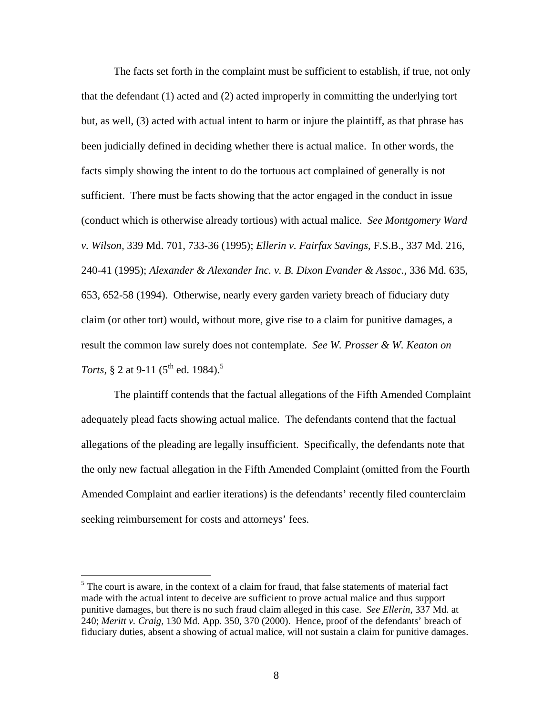The facts set forth in the complaint must be sufficient to establish, if true, not only that the defendant (1) acted and (2) acted improperly in committing the underlying tort but, as well, (3) acted with actual intent to harm or injure the plaintiff, as that phrase has been judicially defined in deciding whether there is actual malice. In other words, the facts simply showing the intent to do the tortuous act complained of generally is not sufficient. There must be facts showing that the actor engaged in the conduct in issue (conduct which is otherwise already tortious) with actual malice. *See Montgomery Ward v. Wilson,* 339 Md. 701, 733-36 (1995); *Ellerin v. Fairfax Savings*, F.S.B., 337 Md. 216, 240-41 (1995); *Alexander & Alexander Inc. v. B. Dixon Evander & Assoc.*, 336 Md. 635, 653, 652-58 (1994). Otherwise, nearly every garden variety breach of fiduciary duty claim (or other tort) would, without more, give rise to a claim for punitive damages, a result the common law surely does not contemplate. *See W. Prosser & W. Keaton on Torts*, § 2 at 9-11 (5<sup>th</sup> ed. 1984).<sup>5</sup>

The plaintiff contends that the factual allegations of the Fifth Amended Complaint adequately plead facts showing actual malice. The defendants contend that the factual allegations of the pleading are legally insufficient. Specifically, the defendants note that the only new factual allegation in the Fifth Amended Complaint (omitted from the Fourth Amended Complaint and earlier iterations) is the defendants' recently filed counterclaim seeking reimbursement for costs and attorneys' fees.

 $<sup>5</sup>$  The court is aware, in the context of a claim for fraud, that false statements of material fact</sup> made with the actual intent to deceive are sufficient to prove actual malice and thus support punitive damages, but there is no such fraud claim alleged in this case. *See Ellerin*, 337 Md. at 240; *Meritt v. Craig,* 130 Md. App. 350, 370 (2000). Hence, proof of the defendants' breach of fiduciary duties, absent a showing of actual malice, will not sustain a claim for punitive damages.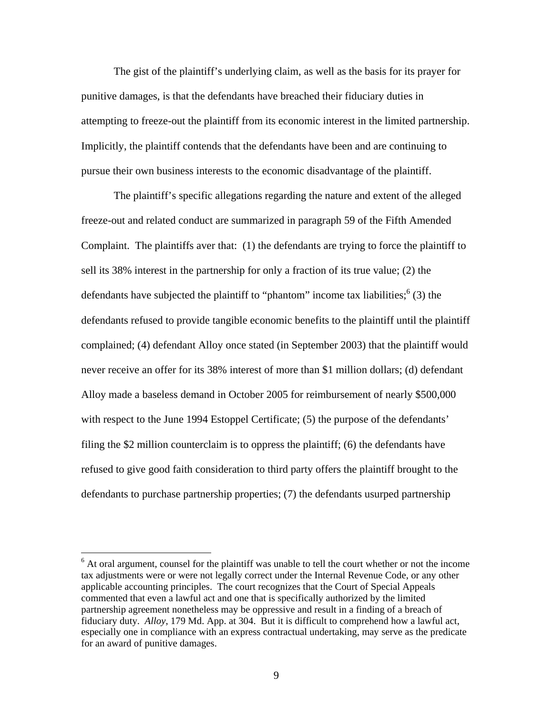The gist of the plaintiff's underlying claim, as well as the basis for its prayer for punitive damages, is that the defendants have breached their fiduciary duties in attempting to freeze-out the plaintiff from its economic interest in the limited partnership. Implicitly, the plaintiff contends that the defendants have been and are continuing to pursue their own business interests to the economic disadvantage of the plaintiff.

The plaintiff's specific allegations regarding the nature and extent of the alleged freeze-out and related conduct are summarized in paragraph 59 of the Fifth Amended Complaint. The plaintiffs aver that: (1) the defendants are trying to force the plaintiff to sell its 38% interest in the partnership for only a fraction of its true value; (2) the defendants have subjected the plaintiff to "phantom" income tax liabilities;  $(3)$  the defendants refused to provide tangible economic benefits to the plaintiff until the plaintiff complained; (4) defendant Alloy once stated (in September 2003) that the plaintiff would never receive an offer for its 38% interest of more than \$1 million dollars; (d) defendant Alloy made a baseless demand in October 2005 for reimbursement of nearly \$500,000 with respect to the June 1994 Estoppel Certificate; (5) the purpose of the defendants' filing the \$2 million counterclaim is to oppress the plaintiff; (6) the defendants have refused to give good faith consideration to third party offers the plaintiff brought to the defendants to purchase partnership properties; (7) the defendants usurped partnership

 $6$  At oral argument, counsel for the plaintiff was unable to tell the court whether or not the income tax adjustments were or were not legally correct under the Internal Revenue Code, or any other applicable accounting principles. The court recognizes that the Court of Special Appeals commented that even a lawful act and one that is specifically authorized by the limited partnership agreement nonetheless may be oppressive and result in a finding of a breach of fiduciary duty. *Alloy*, 179 Md. App. at 304. But it is difficult to comprehend how a lawful act, especially one in compliance with an express contractual undertaking, may serve as the predicate for an award of punitive damages.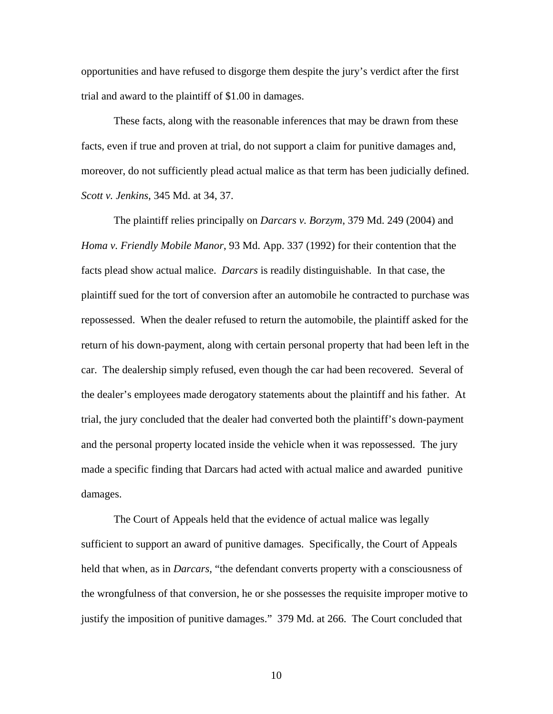opportunities and have refused to disgorge them despite the jury's verdict after the first trial and award to the plaintiff of \$1.00 in damages.

These facts, along with the reasonable inferences that may be drawn from these facts, even if true and proven at trial, do not support a claim for punitive damages and, moreover, do not sufficiently plead actual malice as that term has been judicially defined. *Scott v. Jenkins*, 345 Md. at 34, 37.

The plaintiff relies principally on *Darcars v. Borzym*, 379 Md. 249 (2004) and *Homa v. Friendly Mobile Manor*, 93 Md. App. 337 (1992) for their contention that the facts plead show actual malice. *Darcars* is readily distinguishable. In that case, the plaintiff sued for the tort of conversion after an automobile he contracted to purchase was repossessed. When the dealer refused to return the automobile, the plaintiff asked for the return of his down-payment, along with certain personal property that had been left in the car. The dealership simply refused, even though the car had been recovered. Several of the dealer's employees made derogatory statements about the plaintiff and his father. At trial, the jury concluded that the dealer had converted both the plaintiff's down-payment and the personal property located inside the vehicle when it was repossessed. The jury made a specific finding that Darcars had acted with actual malice and awarded punitive damages.

The Court of Appeals held that the evidence of actual malice was legally sufficient to support an award of punitive damages. Specifically, the Court of Appeals held that when, as in *Darcars*, "the defendant converts property with a consciousness of the wrongfulness of that conversion, he or she possesses the requisite improper motive to justify the imposition of punitive damages." 379 Md. at 266. The Court concluded that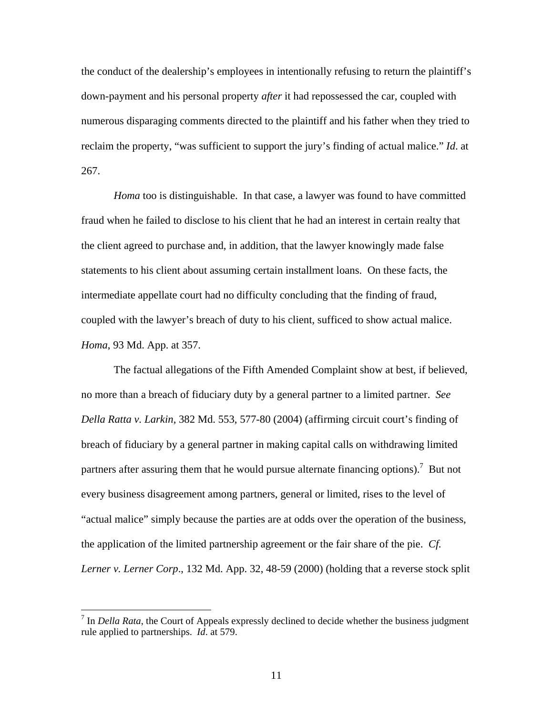the conduct of the dealership's employees in intentionally refusing to return the plaintiff's down-payment and his personal property *after* it had repossessed the car, coupled with numerous disparaging comments directed to the plaintiff and his father when they tried to reclaim the property, "was sufficient to support the jury's finding of actual malice." *Id*. at 267.

*Homa* too is distinguishable. In that case, a lawyer was found to have committed fraud when he failed to disclose to his client that he had an interest in certain realty that the client agreed to purchase and, in addition, that the lawyer knowingly made false statements to his client about assuming certain installment loans. On these facts, the intermediate appellate court had no difficulty concluding that the finding of fraud, coupled with the lawyer's breach of duty to his client, sufficed to show actual malice. *Homa*, 93 Md. App. at 357.

The factual allegations of the Fifth Amended Complaint show at best, if believed, no more than a breach of fiduciary duty by a general partner to a limited partner. *See Della Ratta v. Larkin*, 382 Md. 553, 577-80 (2004) (affirming circuit court's finding of breach of fiduciary by a general partner in making capital calls on withdrawing limited partners after assuring them that he would pursue alternate financing options).<sup>7</sup> But not every business disagreement among partners, general or limited, rises to the level of "actual malice" simply because the parties are at odds over the operation of the business, the application of the limited partnership agreement or the fair share of the pie. *Cf. Lerner v. Lerner Corp*., 132 Md. App. 32, 48-59 (2000) (holding that a reverse stock split

<sup>&</sup>lt;sup>7</sup> In *Della Rata*, the Court of Appeals expressly declined to decide whether the business judgment rule applied to partnerships. *Id*. at 579.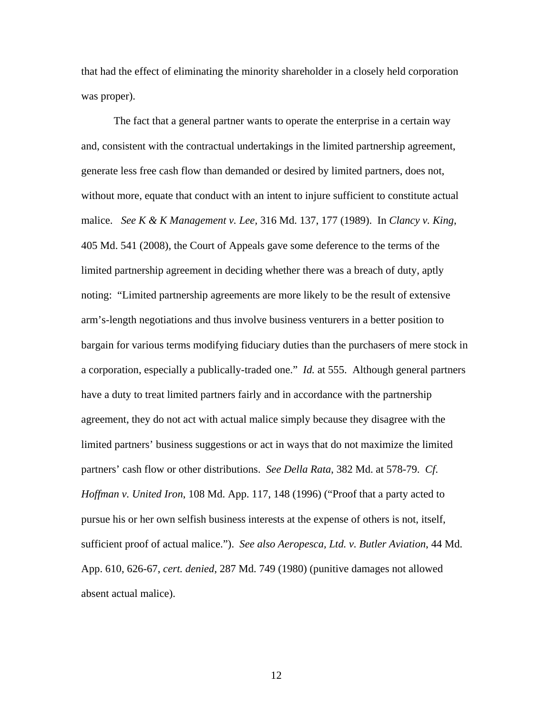that had the effect of eliminating the minority shareholder in a closely held corporation was proper).

The fact that a general partner wants to operate the enterprise in a certain way and, consistent with the contractual undertakings in the limited partnership agreement, generate less free cash flow than demanded or desired by limited partners, does not, without more, equate that conduct with an intent to injure sufficient to constitute actual malice. *See K & K Management v. Lee,* 316 Md. 137, 177 (1989). In *Clancy v. King*, 405 Md. 541 (2008), the Court of Appeals gave some deference to the terms of the limited partnership agreement in deciding whether there was a breach of duty, aptly noting: "Limited partnership agreements are more likely to be the result of extensive arm's-length negotiations and thus involve business venturers in a better position to bargain for various terms modifying fiduciary duties than the purchasers of mere stock in a corporation, especially a publically-traded one." *Id.* at 555. Although general partners have a duty to treat limited partners fairly and in accordance with the partnership agreement, they do not act with actual malice simply because they disagree with the limited partners' business suggestions or act in ways that do not maximize the limited partners' cash flow or other distributions. *See Della Rata*, 382 Md. at 578-79. *Cf*. *Hoffman v. United Iron*, 108 Md. App. 117, 148 (1996) ("Proof that a party acted to pursue his or her own selfish business interests at the expense of others is not, itself, sufficient proof of actual malice."). *See also Aeropesca, Ltd. v. Butler Aviation*, 44 Md. App. 610, 626-67, *cert. denied*, 287 Md. 749 (1980) (punitive damages not allowed absent actual malice).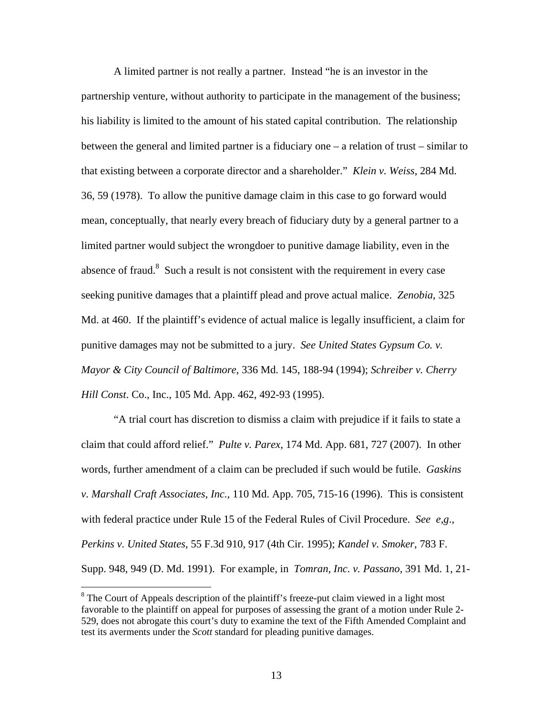A limited partner is not really a partner. Instead "he is an investor in the partnership venture, without authority to participate in the management of the business; his liability is limited to the amount of his stated capital contribution. The relationship between the general and limited partner is a fiduciary one – a relation of trust – similar to that existing between a corporate director and a shareholder." *Klein v. Weiss*, 284 Md. 36, 59 (1978). To allow the punitive damage claim in this case to go forward would mean, conceptually, that nearly every breach of fiduciary duty by a general partner to a limited partner would subject the wrongdoer to punitive damage liability, even in the absence of fraud. $8$  Such a result is not consistent with the requirement in every case seeking punitive damages that a plaintiff plead and prove actual malice. *Zenobia*, 325 Md. at 460. If the plaintiff's evidence of actual malice is legally insufficient, a claim for punitive damages may not be submitted to a jury. *See United States Gypsum Co. v. Mayor & City Council of Baltimore*, 336 Md. 145, 188-94 (1994); *Schreiber v. Cherry Hill Const*. Co., Inc., 105 Md. App. 462, 492-93 (1995).

"A trial court has discretion to dismiss a claim with prejudice if it fails to state a claim that could afford relief." *Pulte v. Parex*, 174 Md. App. 681, 727 (2007). In other words, further amendment of a claim can be precluded if such would be futile. *Gaskins v. Marshall Craft Associates, Inc.,* 110 Md. App. 705, 715-16 (1996). This is consistent with federal practice under Rule 15 of the Federal Rules of Civil Procedure. *See e,g*., *Perkins v. United States*, 55 F.3d 910, 917 (4th Cir. 1995); *Kandel v. Smoker*, 783 F. Supp. 948, 949 (D. Md. 1991). For example, in *Tomran, Inc. v. Passano*, 391 Md. 1, 21-

 $8$  The Court of Appeals description of the plaintiff's freeze-put claim viewed in a light most favorable to the plaintiff on appeal for purposes of assessing the grant of a motion under Rule 2- 529, does not abrogate this court's duty to examine the text of the Fifth Amended Complaint and test its averments under the *Scott* standard for pleading punitive damages.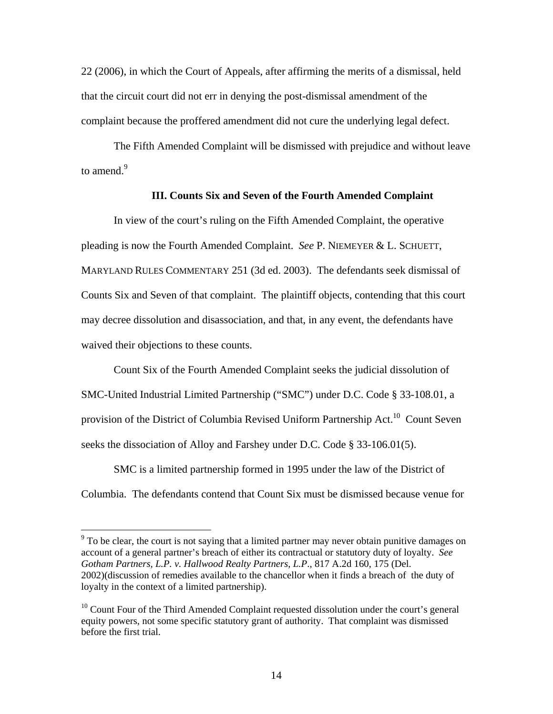22 (2006), in which the Court of Appeals, after affirming the merits of a dismissal, held that the circuit court did not err in denying the post-dismissal amendment of the complaint because the proffered amendment did not cure the underlying legal defect.

The Fifth Amended Complaint will be dismissed with prejudice and without leave to amend. $9$ 

## **III. Counts Six and Seven of the Fourth Amended Complaint**

 In view of the court's ruling on the Fifth Amended Complaint, the operative pleading is now the Fourth Amended Complaint. *See* P. NIEMEYER & L. SCHUETT, MARYLAND RULES COMMENTARY 251 (3d ed. 2003). The defendants seek dismissal of Counts Six and Seven of that complaint. The plaintiff objects, contending that this court may decree dissolution and disassociation, and that, in any event, the defendants have waived their objections to these counts.

Count Six of the Fourth Amended Complaint seeks the judicial dissolution of SMC-United Industrial Limited Partnership ("SMC") under D.C. Code § 33-108.01, a provision of the District of Columbia Revised Uniform Partnership Act.<sup>10</sup> Count Seven seeks the dissociation of Alloy and Farshey under D.C. Code § 33-106.01(5).

SMC is a limited partnership formed in 1995 under the law of the District of Columbia. The defendants contend that Count Six must be dismissed because venue for

 $9<sup>9</sup>$  To be clear, the court is not saying that a limited partner may never obtain punitive damages on account of a general partner's breach of either its contractual or statutory duty of loyalty. *See Gotham Partners, L.P. v. Hallwood Realty Partners*, *L.P*., 817 A.2d 160, 175 (Del. 2002)(discussion of remedies available to the chancellor when it finds a breach of the duty of loyalty in the context of a limited partnership).

 $10$  Count Four of the Third Amended Complaint requested dissolution under the court's general equity powers, not some specific statutory grant of authority. That complaint was dismissed before the first trial.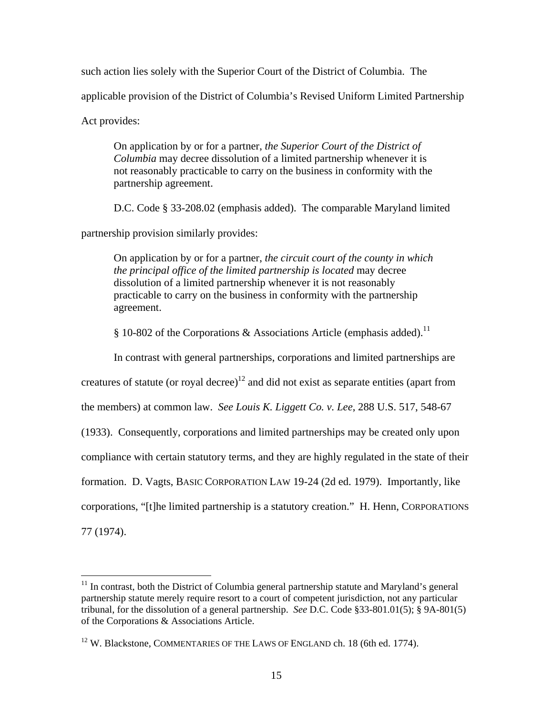such action lies solely with the Superior Court of the District of Columbia. The applicable provision of the District of Columbia's Revised Uniform Limited Partnership Act provides:

On application by or for a partner, *the Superior Court of the District of Columbia* may decree dissolution of a limited partnership whenever it is not reasonably practicable to carry on the business in conformity with the partnership agreement.

D.C. Code § 33-208.02 (emphasis added). The comparable Maryland limited

partnership provision similarly provides:

On application by or for a partner, *the circuit court of the county in which the principal office of the limited partnership is located* may decree dissolution of a limited partnership whenever it is not reasonably practicable to carry on the business in conformity with the partnership agreement.

§ 10-802 of the Corporations & Associations Article (emphasis added).<sup>11</sup>

In contrast with general partnerships, corporations and limited partnerships are

creatures of statute (or royal decree)<sup>12</sup> and did not exist as separate entities (apart from

the members) at common law. *See Louis K. Liggett Co. v. Lee*, 288 U.S. 517, 548-67

(1933). Consequently, corporations and limited partnerships may be created only upon

compliance with certain statutory terms, and they are highly regulated in the state of their

formation. D. Vagts, BASIC CORPORATION LAW 19-24 (2d ed. 1979). Importantly, like

corporations, "[t]he limited partnership is a statutory creation." H. Henn, CORPORATIONS

77 (1974).

 $\overline{a}$  $11$  In contrast, both the District of Columbia general partnership statute and Maryland's general partnership statute merely require resort to a court of competent jurisdiction, not any particular tribunal, for the dissolution of a general partnership. *See* D.C. Code §33-801.01(5); § 9A-801(5) of the Corporations & Associations Article.

 $12$  W. Blackstone, COMMENTARIES OF THE LAWS OF ENGLAND ch. 18 (6th ed. 1774).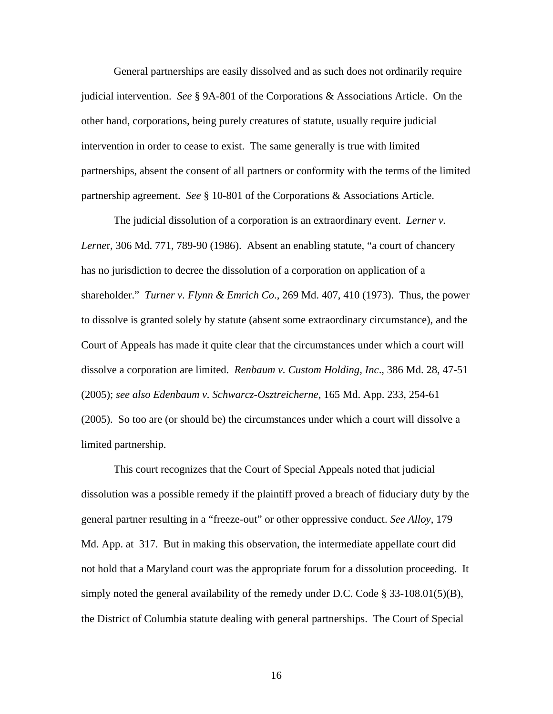General partnerships are easily dissolved and as such does not ordinarily require judicial intervention. *See* § 9A-801 of the Corporations & Associations Article. On the other hand, corporations, being purely creatures of statute, usually require judicial intervention in order to cease to exist. The same generally is true with limited partnerships, absent the consent of all partners or conformity with the terms of the limited partnership agreement. *See* § 10-801 of the Corporations & Associations Article.

The judicial dissolution of a corporation is an extraordinary event. *Lerner v. Lerne*r, 306 Md. 771, 789-90 (1986). Absent an enabling statute, "a court of chancery has no jurisdiction to decree the dissolution of a corporation on application of a shareholder." *Turner v. Flynn & Emrich Co*., 269 Md. 407, 410 (1973). Thus, the power to dissolve is granted solely by statute (absent some extraordinary circumstance), and the Court of Appeals has made it quite clear that the circumstances under which a court will dissolve a corporation are limited. *Renbaum v. Custom Holding, Inc*., 386 Md. 28, 47-51 (2005); *see also Edenbaum v. Schwarcz-Osztreicherne*, 165 Md. App. 233, 254-61 (2005). So too are (or should be) the circumstances under which a court will dissolve a limited partnership.

This court recognizes that the Court of Special Appeals noted that judicial dissolution was a possible remedy if the plaintiff proved a breach of fiduciary duty by the general partner resulting in a "freeze-out" or other oppressive conduct. *See Alloy*, 179 Md. App. at 317. But in making this observation, the intermediate appellate court did not hold that a Maryland court was the appropriate forum for a dissolution proceeding. It simply noted the general availability of the remedy under D.C. Code  $\S 33-108.01(5)(B)$ , the District of Columbia statute dealing with general partnerships. The Court of Special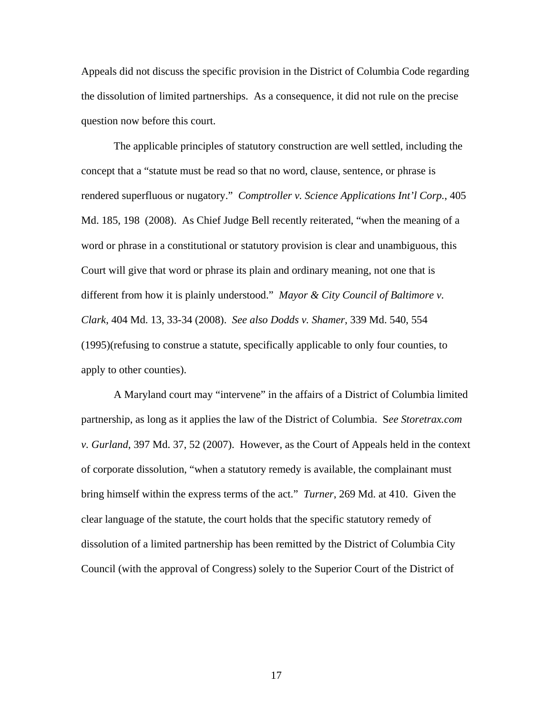Appeals did not discuss the specific provision in the District of Columbia Code regarding the dissolution of limited partnerships. As a consequence, it did not rule on the precise question now before this court.

 The applicable principles of statutory construction are well settled, including the concept that a "statute must be read so that no word, clause, sentence, or phrase is rendered superfluous or nugatory." *Comptroller v. Science Applications Int'l Corp.*, 405 Md. 185, 198 (2008). As Chief Judge Bell recently reiterated, "when the meaning of a word or phrase in a constitutional or statutory provision is clear and unambiguous, this Court will give that word or phrase its plain and ordinary meaning, not one that is different from how it is plainly understood." *Mayor & City Council of Baltimore v. Clark*, 404 Md. 13, 33-34 (2008). *See also Dodds v. Shamer*, 339 Md. 540, 554 (1995)(refusing to construe a statute, specifically applicable to only four counties, to apply to other counties).

 A Maryland court may "intervene" in the affairs of a District of Columbia limited partnership, as long as it applies the law of the District of Columbia. S*ee Storetrax.com v. Gurland*, 397 Md. 37, 52 (2007). However, as the Court of Appeals held in the context of corporate dissolution, "when a statutory remedy is available, the complainant must bring himself within the express terms of the act." *Turner*, 269 Md. at 410. Given the clear language of the statute, the court holds that the specific statutory remedy of dissolution of a limited partnership has been remitted by the District of Columbia City Council (with the approval of Congress) solely to the Superior Court of the District of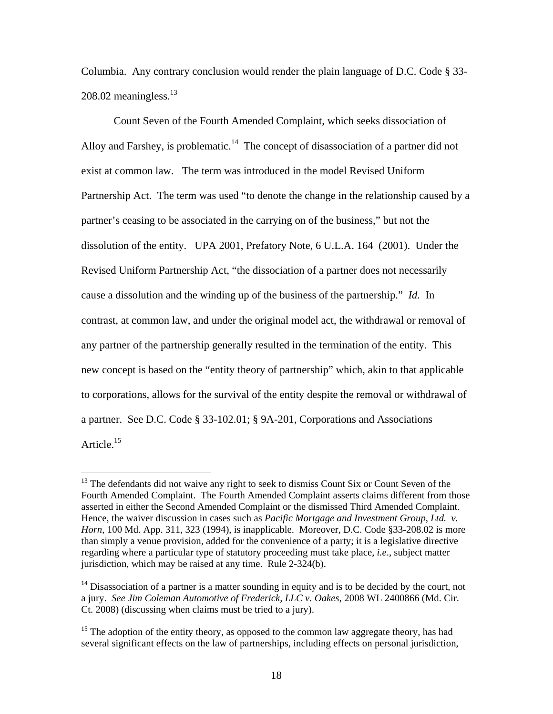Columbia. Any contrary conclusion would render the plain language of D.C. Code § 33-  $208.02$  meaningless.<sup>13</sup>

Count Seven of the Fourth Amended Complaint, which seeks dissociation of Alloy and Farshey, is problematic.<sup>14</sup> The concept of disassociation of a partner did not exist at common law. The term was introduced in the model Revised Uniform Partnership Act. The term was used "to denote the change in the relationship caused by a partner's ceasing to be associated in the carrying on of the business," but not the dissolution of the entity. UPA 2001, Prefatory Note, 6 U.L.A. 164 (2001). Under the Revised Uniform Partnership Act, "the dissociation of a partner does not necessarily cause a dissolution and the winding up of the business of the partnership." *Id.* In contrast, at common law, and under the original model act, the withdrawal or removal of any partner of the partnership generally resulted in the termination of the entity. This new concept is based on the "entity theory of partnership" which, akin to that applicable to corporations, allows for the survival of the entity despite the removal or withdrawal of a partner. See D.C. Code § 33-102.01; § 9A-201, Corporations and Associations Article.<sup>15</sup>

 $13$  The defendants did not waive any right to seek to dismiss Count Six or Count Seven of the Fourth Amended Complaint. The Fourth Amended Complaint asserts claims different from those asserted in either the Second Amended Complaint or the dismissed Third Amended Complaint. Hence, the waiver discussion in cases such as *Pacific Mortgage and Investment Group, Ltd. v. Horn*, 100 Md. App. 311, 323 (1994), is inapplicable. Moreover, D.C. Code §33-208.02 is more than simply a venue provision, added for the convenience of a party; it is a legislative directive regarding where a particular type of statutory proceeding must take place, *i.e*., subject matter jurisdiction, which may be raised at any time. Rule 2-324(b).

 $14$  Disassociation of a partner is a matter sounding in equity and is to be decided by the court, not a jury. *See Jim Coleman Automotive of Frederick, LLC v. Oakes*, 2008 WL 2400866 (Md. Cir. Ct. 2008) (discussing when claims must be tried to a jury).

<sup>&</sup>lt;sup>15</sup> The adoption of the entity theory, as opposed to the common law aggregate theory, has had several significant effects on the law of partnerships, including effects on personal jurisdiction,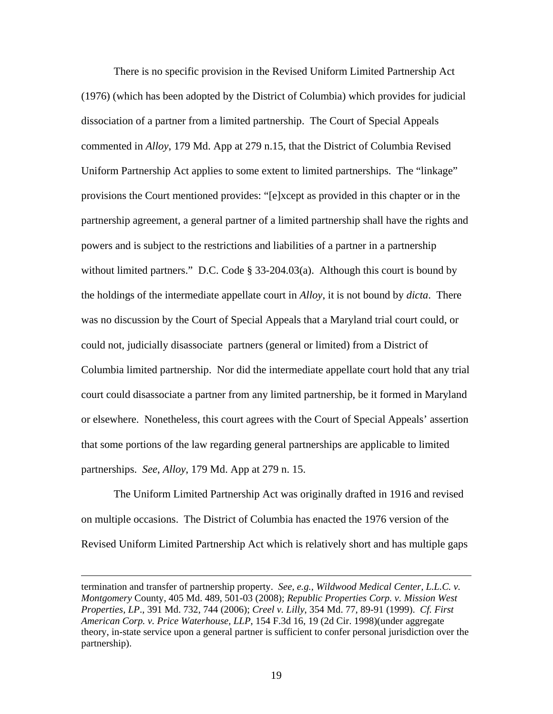There is no specific provision in the Revised Uniform Limited Partnership Act (1976) (which has been adopted by the District of Columbia) which provides for judicial dissociation of a partner from a limited partnership. The Court of Special Appeals commented in *Alloy*, 179 Md. App at 279 n.15, that the District of Columbia Revised Uniform Partnership Act applies to some extent to limited partnerships. The "linkage" provisions the Court mentioned provides: "[e]xcept as provided in this chapter or in the partnership agreement, a general partner of a limited partnership shall have the rights and powers and is subject to the restrictions and liabilities of a partner in a partnership without limited partners." D.C. Code § 33-204.03(a). Although this court is bound by the holdings of the intermediate appellate court in *Alloy*, it is not bound by *dicta*. There was no discussion by the Court of Special Appeals that a Maryland trial court could, or could not, judicially disassociate partners (general or limited) from a District of Columbia limited partnership. Nor did the intermediate appellate court hold that any trial court could disassociate a partner from any limited partnership, be it formed in Maryland or elsewhere. Nonetheless, this court agrees with the Court of Special Appeals' assertion that some portions of the law regarding general partnerships are applicable to limited partnerships. *See*, *Alloy*, 179 Md. App at 279 n. 15.

 The Uniform Limited Partnership Act was originally drafted in 1916 and revised on multiple occasions. The District of Columbia has enacted the 1976 version of the Revised Uniform Limited Partnership Act which is relatively short and has multiple gaps

termination and transfer of partnership property. *See, e.g., Wildwood Medical Center, L.L.C. v. Montgomery* County, 405 Md. 489, 501-03 (2008); *Republic Properties Corp. v. Mission West Properties, LP*., 391 Md. 732, 744 (2006); *Creel v. Lilly*, 354 Md. 77, 89-91 (1999). *Cf. First American Corp. v. Price Waterhouse, LLP*, 154 F.3d 16, 19 (2d Cir. 1998)(under aggregate theory, in-state service upon a general partner is sufficient to confer personal jurisdiction over the partnership).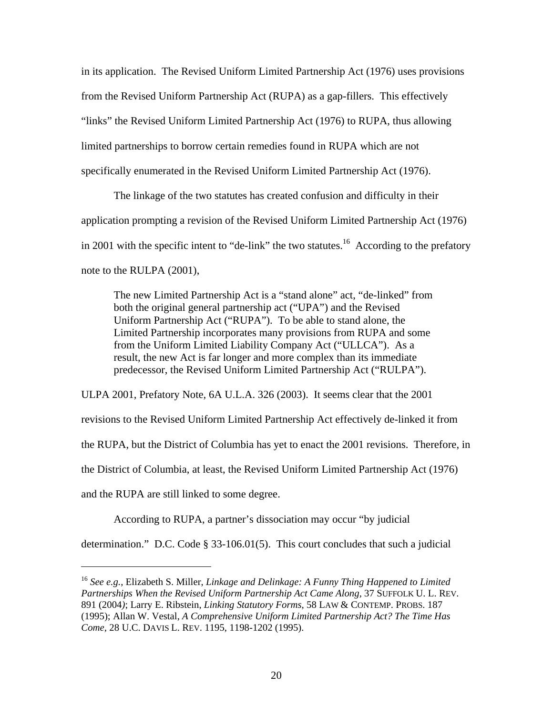in its application. The Revised Uniform Limited Partnership Act (1976) uses provisions from the Revised Uniform Partnership Act (RUPA) as a gap-fillers. This effectively "links" the Revised Uniform Limited Partnership Act (1976) to RUPA, thus allowing limited partnerships to borrow certain remedies found in RUPA which are not specifically enumerated in the Revised Uniform Limited Partnership Act (1976).

The linkage of the two statutes has created confusion and difficulty in their application prompting a revision of the Revised Uniform Limited Partnership Act (1976) in 2001 with the specific intent to "de-link" the two statutes.<sup>16</sup> According to the prefatory note to the RULPA (2001),

The new Limited Partnership Act is a "stand alone" act, "de-linked" from both the original general partnership act ("UPA") and the Revised Uniform Partnership Act ("RUPA"). To be able to stand alone, the Limited Partnership incorporates many provisions from RUPA and some from the Uniform Limited Liability Company Act ("ULLCA"). As a result, the new Act is far longer and more complex than its immediate predecessor, the Revised Uniform Limited Partnership Act ("RULPA").

ULPA 2001, Prefatory Note, 6A U.L.A. 326 (2003). It seems clear that the 2001 revisions to the Revised Uniform Limited Partnership Act effectively de-linked it from the RUPA, but the District of Columbia has yet to enact the 2001 revisions. Therefore, in the District of Columbia, at least, the Revised Uniform Limited Partnership Act (1976) and the RUPA are still linked to some degree.

According to RUPA, a partner's dissociation may occur "by judicial

 $\overline{a}$ 

determination." D.C. Code § 33-106.01(5). This court concludes that such a judicial

<sup>16</sup> *See e.g.*, Elizabeth S. Miller, *Linkage and Delinkage: A Funny Thing Happened to Limited Partnerships When the Revised Uniform Partnership Act Came Along,* 37 SUFFOLK U. L. REV. 891 (2004*)*; Larry E. Ribstein, *Linking Statutory Forms*, 58 LAW & CONTEMP. PROBS. 187 (1995); Allan W. Vestal, *A Comprehensive Uniform Limited Partnership Act? The Time Has Come,* 28 U.C. DAVIS L. REV. 1195, 1198-1202 (1995).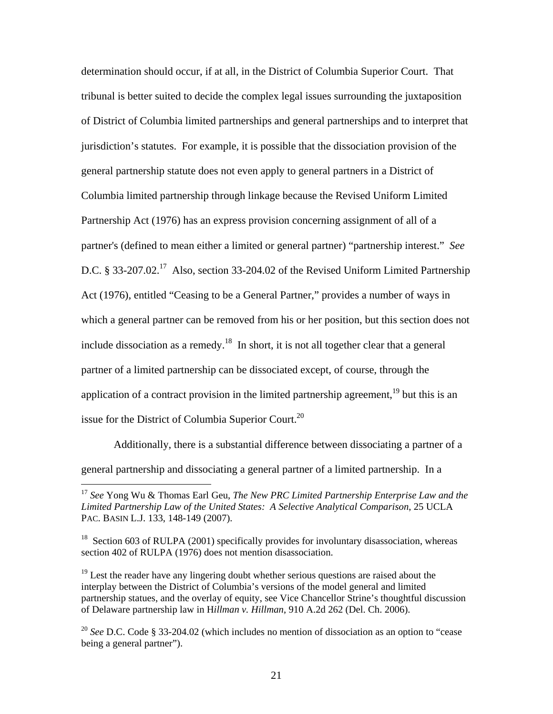determination should occur, if at all, in the District of Columbia Superior Court. That tribunal is better suited to decide the complex legal issues surrounding the juxtaposition of District of Columbia limited partnerships and general partnerships and to interpret that jurisdiction's statutes. For example, it is possible that the dissociation provision of the general partnership statute does not even apply to general partners in a District of Columbia limited partnership through linkage because the Revised Uniform Limited Partnership Act (1976) has an express provision concerning assignment of all of a partner's (defined to mean either a limited or general partner) "partnership interest." *See*  D.C.  $\S 33-207.02$ <sup>17</sup> Also, section 33-204.02 of the Revised Uniform Limited Partnership Act (1976), entitled "Ceasing to be a General Partner," provides a number of ways in which a general partner can be removed from his or her position, but this section does not include dissociation as a remedy.<sup>18</sup> In short, it is not all together clear that a general partner of a limited partnership can be dissociated except, of course, through the application of a contract provision in the limited partnership agreement,  $19$  but this is an issue for the District of Columbia Superior Court.<sup>20</sup>

Additionally, there is a substantial difference between dissociating a partner of a general partnership and dissociating a general partner of a limited partnership. In a

<sup>17</sup> *See* Yong Wu & Thomas Earl Geu, *The New PRC Limited Partnership Enterprise Law and the Limited Partnership Law of the United States: A Selective Analytical Comparison*, 25 UCLA PAC. BASIN L.J. 133, 148-149 (2007).

 $18$  Section 603 of RULPA (2001) specifically provides for involuntary disassociation, whereas section 402 of RULPA (1976) does not mention disassociation.

 $19$  Lest the reader have any lingering doubt whether serious questions are raised about the interplay between the District of Columbia's versions of the model general and limited partnership statues, and the overlay of equity, see Vice Chancellor Strine's thoughtful discussion of Delaware partnership law in H*illman v. Hillman*, 910 A.2d 262 (Del. Ch. 2006).

<sup>20</sup> *See* D.C. Code § 33-204.02 (which includes no mention of dissociation as an option to "cease being a general partner").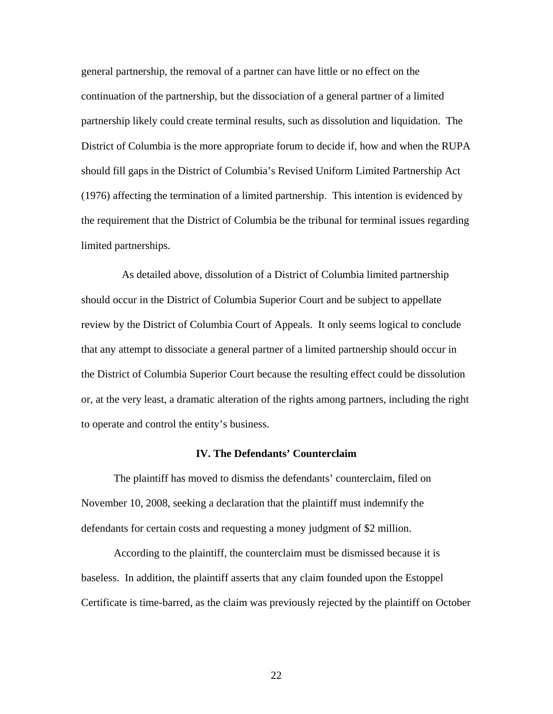general partnership, the removal of a partner can have little or no effect on the continuation of the partnership, but the dissociation of a general partner of a limited partnership likely could create terminal results, such as dissolution and liquidation. The District of Columbia is the more appropriate forum to decide if, how and when the RUPA should fill gaps in the District of Columbia's Revised Uniform Limited Partnership Act (1976) affecting the termination of a limited partnership. This intention is evidenced by the requirement that the District of Columbia be the tribunal for terminal issues regarding limited partnerships.

 As detailed above, dissolution of a District of Columbia limited partnership should occur in the District of Columbia Superior Court and be subject to appellate review by the District of Columbia Court of Appeals. It only seems logical to conclude that any attempt to dissociate a general partner of a limited partnership should occur in the District of Columbia Superior Court because the resulting effect could be dissolution or, at the very least, a dramatic alteration of the rights among partners, including the right to operate and control the entity's business.

#### **IV. The Defendants' Counterclaim**

The plaintiff has moved to dismiss the defendants' counterclaim, filed on November 10, 2008, seeking a declaration that the plaintiff must indemnify the defendants for certain costs and requesting a money judgment of \$2 million.

According to the plaintiff, the counterclaim must be dismissed because it is baseless. In addition, the plaintiff asserts that any claim founded upon the Estoppel Certificate is time-barred, as the claim was previously rejected by the plaintiff on October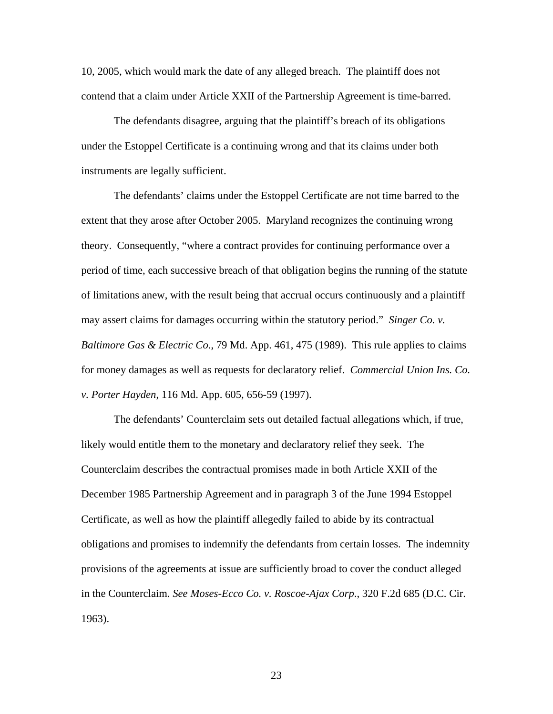10, 2005, which would mark the date of any alleged breach. The plaintiff does not contend that a claim under Article XXII of the Partnership Agreement is time-barred.

The defendants disagree, arguing that the plaintiff's breach of its obligations under the Estoppel Certificate is a continuing wrong and that its claims under both instruments are legally sufficient.

The defendants' claims under the Estoppel Certificate are not time barred to the extent that they arose after October 2005. Maryland recognizes the continuing wrong theory. Consequently, "where a contract provides for continuing performance over a period of time, each successive breach of that obligation begins the running of the statute of limitations anew, with the result being that accrual occurs continuously and a plaintiff may assert claims for damages occurring within the statutory period." *Singer Co. v. Baltimore Gas & Electric Co*., 79 Md. App. 461, 475 (1989). This rule applies to claims for money damages as well as requests for declaratory relief. *Commercial Union Ins. Co. v. Porter Hayden*, 116 Md. App. 605, 656-59 (1997).

The defendants' Counterclaim sets out detailed factual allegations which, if true, likely would entitle them to the monetary and declaratory relief they seek. The Counterclaim describes the contractual promises made in both Article XXII of the December 1985 Partnership Agreement and in paragraph 3 of the June 1994 Estoppel Certificate, as well as how the plaintiff allegedly failed to abide by its contractual obligations and promises to indemnify the defendants from certain losses. The indemnity provisions of the agreements at issue are sufficiently broad to cover the conduct alleged in the Counterclaim. *See Moses-Ecco Co. v. Roscoe-Ajax Corp*., 320 F.2d 685 (D.C. Cir. 1963).